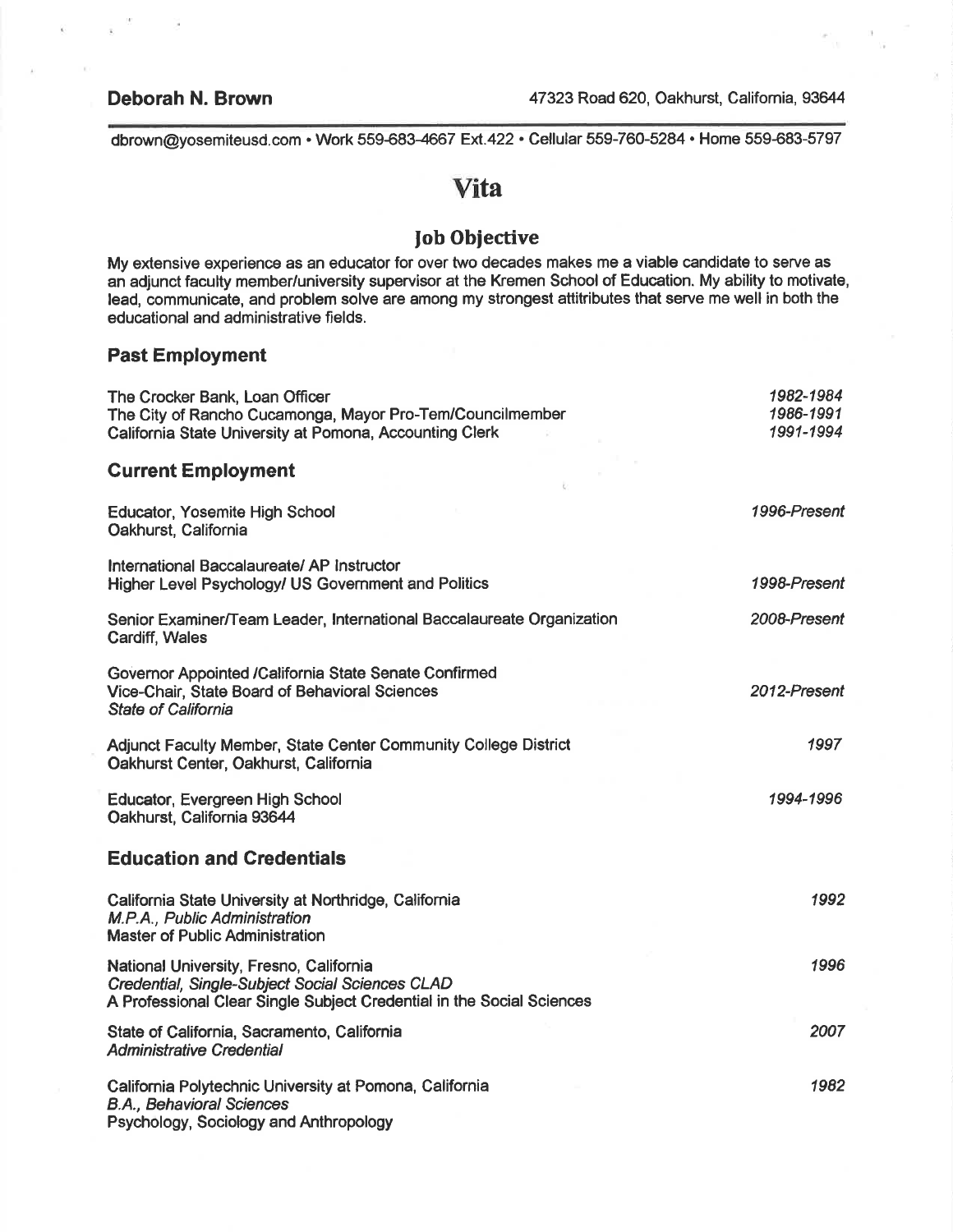dbrown@yosemiteusd.com . Work 559-683-4667 Ext.422 . Cellular 559-760-5284 . Home 559-683-5797

# Vita

# Job Objective

My extensive experience as an educator for over two decades makes me a viable candidate to serve as an adjunct faculty member/university supervisor at the Kremen School of Education. My ability to motivate, lead, communicate, and problem solve are among my strongest attitributes that serve me well in both the educational and administrative fields.

#### Past Employment

| The Crocker Bank, Loan Officer<br>The City of Rancho Cucamonga, Mayor Pro-Tem/Councilmember<br>California State University at Pomona, Accounting Clerk              | 1982-1984<br>1986-1991<br>1991-1994 |
|---------------------------------------------------------------------------------------------------------------------------------------------------------------------|-------------------------------------|
| <b>Current Employment</b>                                                                                                                                           |                                     |
| Educator, Yosemite High School<br>Oakhurst, California                                                                                                              | 1996-Present                        |
| International Baccalaureate/ AP Instructor<br>Higher Level Psychology/ US Government and Politics                                                                   | 1998-Present                        |
| Senior Examiner/Team Leader, International Baccalaureate Organization<br>Cardiff, Wales                                                                             | 2008-Present                        |
| Governor Appointed /California State Senate Confirmed<br>Vice-Chair, State Board of Behavioral Sciences<br><b>State of California</b>                               | 2012-Present                        |
| <b>Adjunct Faculty Member, State Center Community College District</b><br>Oakhurst Center, Oakhurst, California                                                     | 1997                                |
| Educator, Evergreen High School<br>Oakhurst, California 93644                                                                                                       | 1994-1996                           |
| <b>Education and Credentials</b>                                                                                                                                    |                                     |
| California State University at Northridge, California<br>M.P.A., Public Administration<br>Master of Public Administration                                           | 1992                                |
| National University, Fresno, California<br>Credential, Single-Subject Social Sciences CLAD<br>A Professional Clear Single Subject Credential in the Social Sciences | 1996                                |
| State of California, Sacramento, California<br><b>Administrative Credential</b>                                                                                     | 2007                                |
| California Polytechnic University at Pomona, California<br><b>B.A., Behavioral Sciences</b><br>Psychology, Sociology and Anthropology                               | 1982                                |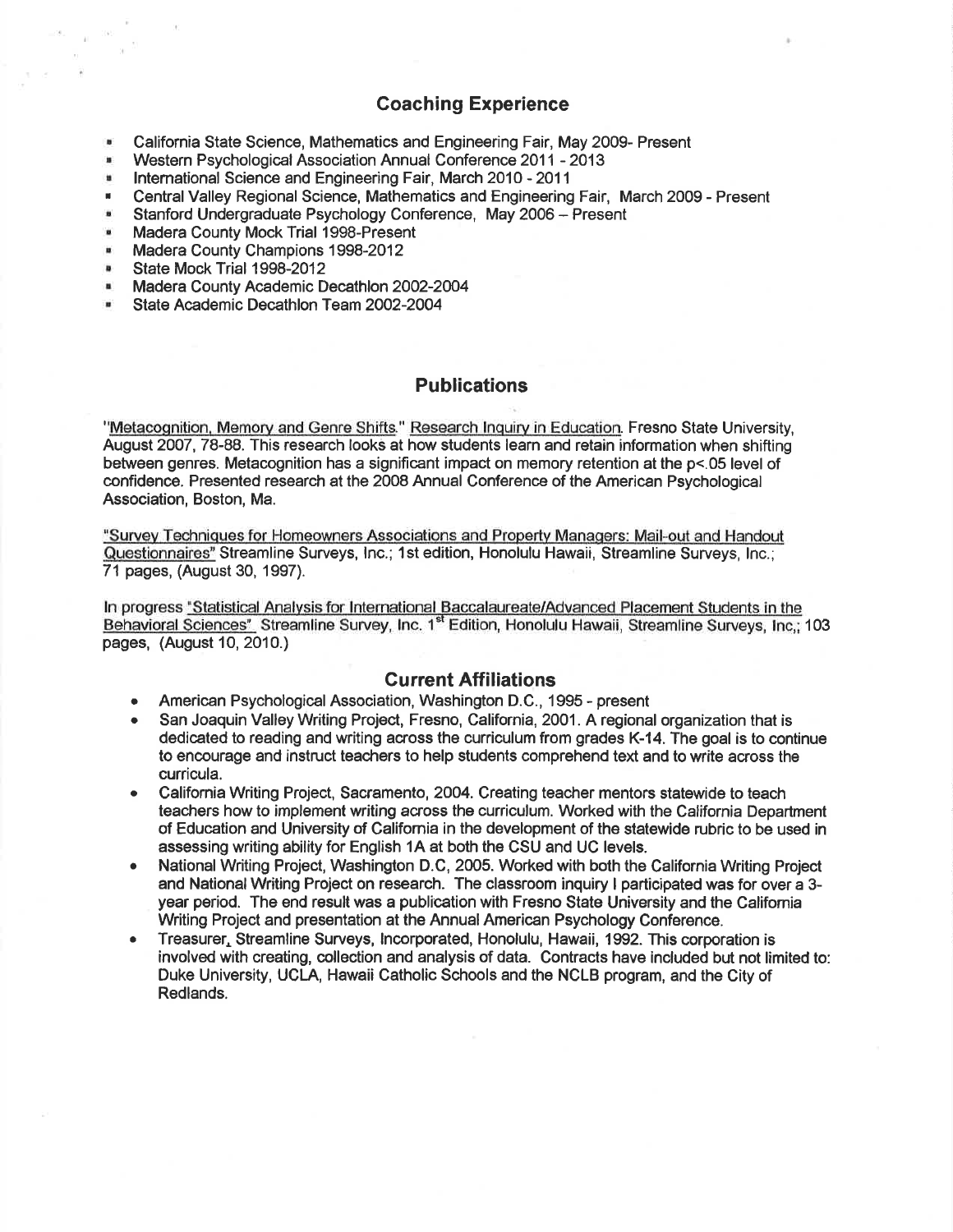## Goaching Experience

- . California State Science, Mathematics and Engineering Fair, May 2009- Present
- **Western Psychological Association Annual Conference 2011 2013**
- **EXECUTE: International Science and Engineering Fair, March 2010 2011**
- . CentralValley Regional Science, Mathematics and Engineering Fair, March 2009 Present
- **Stanford Undergraduate Psychology Conference, May 2006 Present**<br>
Madera County Mock Triel 1998-Present
- . Madera County Mock Trial 1998-Present
- **Madera County Champions 1998-2012**
- State Mock Trial 1998-2012
- **Madera County Academic Decathlon 2002-2004**
- . State Academic Decathlon Team2OO2-2OO4

### **Publications**

"Metacognition, Memory and Genre Shifts." Research Inquiry in Education. Fresno State University, August 2007,78-88. This research looks at how students learn and retain information when shifting between genres. Metacognition has a significant impact on memory retention at the p<.05 level of confidence. Presented research at the 2008 Annual Conference of the American Psychological Association, Boston, Ma.

'Survev Techniques for Homeowners Associations and Propertv Managers: Mail-out and Handout Questionnaires" Streamline Surveys, Inc.; 1st edition, Honolulu Hawaii, Streamline Surveys, Inc.; 71 pages, (August 30, 1997).

In progress "Statistical Analysis for International Baccalaureate/Advanced Placement Students in the Behavioral Sciences" Streamline Survey, Inc. 1<sup>st</sup> Edition, Honolulu Hawaii, Streamline Surveys. Inc.: 103 pages, (August 10, 2010.)

#### Current Affiliations

- American Psychological Association, Washington D.C., 1995 present
- San Joaquin Valley Writing Project, Fresno, California, 2001. A regional organization that is dedicated to reading and writing across the curriculum from grades K-14. The goal is to continue to encourage and instruct teachers to help students comprehend text and to write across the curricula.
- California Writing Project, Sacramento, 2004. Creating teacher mentors statewide to teach teachers how to implement writing across the curriculum. Worked with the California Department of Education and University of Califomia in the development of the statewide rubric to be used in assessing writing ability for English 1A at both the CSU and UC levels.
- National Writing Project, Washington D.C, 2005. Worked with both the California Writing Project and National Writing Project on research. The classroom inquiry I participated was for over a 3 year period. The end result was a publication with Fresno State University and the Califomia Writing Project and presentation at the Annual American Psychology Conference.
- Treasurer, Streamline Surveys, Incorporated, Honolulu, Hawaii, 1992. This corporation is involved with creating, collection and analysis of data. Contracts have included but not limited to: Duke University, UCLA, Hawaii Catholic Schools and the NCLB program, and the City of Redlands.